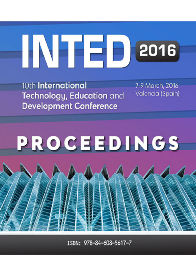# HNHED 2016

10th International Technology, Education and **Development Conference** 

7-9 March, 2016 Valencia (Spain)

# PROCEEDINGS

ISBN: 978-84-608-5617-7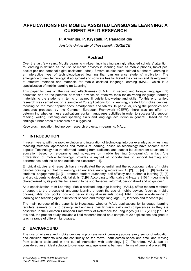# **APPLICATIONS FOR MOBILE ASSISTED LANGUAGE LEARNING: A CURRENT FIELD RESEARCH**

#### **P. Arvanitis, P. Krystalli, P. Panagiotidis**

*Aristotle University of Thessaloniki (GREECE)* 

#### **Abstract**

Over the last few years, Mobile Learning (m-Learning) has increasingly attracted scholars' attention. m-Learning is defined as the use of mobile devices in learning such as mobile phones, tablet pcs, pocket pcs and personal digital assistants (pdas). Several studies have pointed out that m-Learning is an interactive type of technology-based learning that can enhance students' motivation. The emergence of new technological equipment and software has facilitated the creation and development of effective methods and materials for mobile assisted language learning (MALL) which is a specialization of mobile learning (m-Learning).

This paper focuses on the use and effectiveness of MALL in second and foreign language (L2) education and on the potential of mobile devices as effective tools for delivering language learning materials to the students in terms of gained linguistic knowledge and skills. To this end, a field research was carried out on a sample of 20 applications for L2 learning, created for mobile devices, focusing on the most popular ones: smartphones and tablets. In particular, using the principles and standards proposed by the Common European Framework (CEFR), there was an effort on determining whether these applications contain languages activities in order to successfully support reading, writing, listening and speaking skills and language acquisition in general. Based on the findings further areas of research are suggested.

Keywords: Innovation, technology, research projects, m-Learning, MALL.

#### **1 INTRODUCTION**

In recent years, with the rapid evolution and integration of technology into our everyday activities, new teaching methods, approaches and models of learning, based on technology have become more popular. Technology has transformed learning from traditional and teacher led classroom education, to education based on e-Learning and nowadays on mobile learning (m-Learning). In fact "the proliferation of mobile technology provides a myriad of opportunities to support learning and performance both inside and outside the classroom" [1].

Empirical studies and research have investigated the potential and the educational value of mobile devices pointing out that m-Learning can enhance learning motivation [1], [2], [3], [4], [5 ],[6] reinforce students' engagement [3] [7], promote student autonomy, self-efficacy and authentic learning [3] [8] and aid students to develop digital skills [5],[9]. According to Miangah and Nezarat [10] "m-Learning is characterized by its potential for learning to be spontaneous, informal, personalized and ubiquitous"

As a specialization of m-Learning, Mobile assisted language learning (MALL), offers modern methods of support to the process of language learning through the use of mobile devices (such as mobile phones, tablet pcs, pocket pcs and personal digital assistants pdas). MALL opens a wide range of learning and teaching opportunities for second and foreign language (L2) learners and teachers [4].

The main purpose of this paper is to investigate whether MALL applications for language learning facilitate learners of L2 to develop and enhance their linguistic skills and competences as they are described in the Common European Framework of Reference for Languages (CERF) (2001) [11]. To this end, the present study includes a field research based on a sample of 20 applications designed to teach a range of different languages.

## **2 BACKGROUND**

The use of wireless and mobile devices is progressively increasing across every sector of education and envision students who are continually on the move, learn across space and time, and moving from topic to topic and in and out of interaction with technology [12]. Therefore, MALL can be considered an an ideal solution to overleap language learning barriers in terms of time and place [10].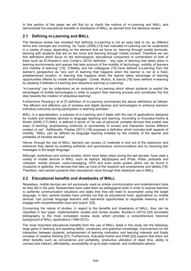In this section of the paper we will first try to clarify the notions of m-Learning and MALL and demonstrate the educational benefits or drawbacks of MALL as derived from the literature review.

#### **2.1 Defining m-Learning and MALL**

The literature review has revealed that defining m-Learning is not an easy task to do, as different terms and concepts are involving. As Taylor (2006) [13] has indicated m-Learning can be understood in a variety of ways, depending on the element that we focus on: learning through mobile terminals, learning with students that are on the move and learning through mobile content. Therefore we can find definitions which focus on the technological, educational component or combination of both of them such as El-Hussein's and Cronje's (2010) definition : "any type of learning that takes place in learning environments and spaces that take account of the mobility of technology, mobility of learners and mobility of learning" [14]. O'Malley and her colleagues [15] have defined m-Learning from the learner's perspective as "any sort of learning that happens when the learner is not at a fixed, predetermined location, or learning that happens when the learner takes advantage of learning opportunities offered by mobile technologies". Conde, Muñoz, & García [16] have defined m-learning by situating it between e-Learning and ubiquitous learning (u-Learning):

"m-Learning" can be understood as an evolution of e-Learning which allows students to exploit the advantages of mobile technologies in order to support their learning process and constitutes the first step towards the creation of ubiquitous learning".

Furthermore Rossing's *et al* [7] definition of m-Learning summarizes the above definitions as follows: "the efficient and effective use of wireless and digital devices and technologies to enhance learners' individual outcomes during participation in learning activities".

MALL is a specialization, a subarea of m-Learning and it deals with the use of applications designed for mobile and wireless devices in language teaching and learning. According to Kukulska-Hulme & Shield (2008) [17] MALL is defined in terms of "its use of personal, portable devices that enable new ways of learning, emphasizing continuity or spontaneity of access and interaction across different context of use". Additionally, Palalas (2011) [18] proposes a definition which includes both aspects of mobility: "MALL can be defined as language learning enabled by the mobility of the learner and portability of handled devices".

Hence, through the use of MALL learners can access L2 materials in and out of the classroom and whenever they desire by enabling authentic and spontaneous communications and by receiving text messages in the target language.

Although, workshops and various studies, which have taken place during the last decade, have used a variety of mobile devices in MALL such as laptops, Mp3players and iPods, iPads, podcasts and vodcasts, mobile phones, voice-messaging, GPS and even audio guides which can be found in museums or galleries, the devices that take up most of the research are smartphones and tablets [19]. Therefore, next section presents their educational value through their didactical use in MALL.

#### **2.2 Educational benefits and drawbacks of MALL**

Nowadays, mobile devices are not exclusively used as simple communication and entertainment tools as they did in the past. Researchers have used them as pedagogical tools in order to expose learners to authentic communication situations and tasks that they will need to accomplish using the target language. In fact, several studies have pointed out that as educational tools, applications on mobile devices "can provide language learners with real-world opportunities to negotiate meaning and to engage with comprehensible input and output" [20].

Concerning the nature of studies, in regard to the benefits and drawbacks of MALL, they can be classified in two types: implementation studies and review studies. Burston's (2013) [20] annotated bibliography is the most completed review study which provides a comprehensive historical background of MALL applications (1994-2012).

The most important educational benefits from the use of MALL listed in this study are the following: large gains in listening and speaking ability, vocabulary and grammar knowledge, improvement on the interaction between students, enhancement of learning motivation and learning interests and finally increase of creative thinking [21]. Furthermore, Kukulska-Hulme and Pettit [22] support that there are other benefits such as convenience and portability, productive utilization of dead time, ability to connect and interact, affordability, accessibility of up-to-date material, and multimedia options.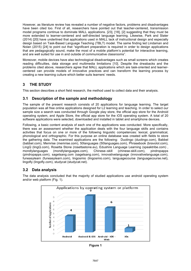However, as literature review has revealed a number of negative factors, problems and disadvantages have been cited too. First of all, researchers have pointed out that teacher-centered, transmission model programs continue to dominate MALL applications. [23], [18], [2] suggesting that they must be more extended to learner-centered and self-directed language learning. Likewise, Park and Slater (2014) [20] have underlined that applications used in MALL lack of instructional design and especially design based on Task-Based Language Teaching (TBLT) model. The same finding led Lindaman and Nolan (2015) [24] to point out that "significant preparation is required in order to design applications that are pedagogically sound, make the most of a mobile platform's potential for interactive learning, and are well suited for use in and outside of communicative classrooms".

Moreover, mobile devices have also technological disadvantages such as small screens which creates reading difficulties, data storage and multimedia limitations [10]. Despite the drwabacks and the problems cited above, researchers agree that MALL applications which are task-oriented and learnercentered can provide models of innovative practices and can transform the learning process by creating a new learning culture which better suits learners' needs.

# **3 THE STUDY**

This section describes a short field research, the method used to collect data and their analysis.

#### **3.1 Description of the sample and methodology**

The sample of the present research consists of 20 applications for language learning. The target population was all free online applications designed for L2 learning and teaching. In order to select our sample size a search was conducted through Google play store, the official app store for the Android operating system, and Apple Store, the official app store for the iOS operating system. A total of 20 software applications were selected, downloaded and installed in tablet and smartphone devices.

Following, a basic content analysis of each one of the applications was conducted. More specifically, there was an assessment whether the application deals with the four language skills and contains activities that focus on one or more of the following linguistic competences: lexical, grammatical, phonological and orthographic. For this purpose an online database was created with fields to store the gathering data. The examined applications are the following: Duolingo (duolingo.com), Babbel (babbel.com), Memrise (memrise.com), 50languages (50languages.com), Phrasebook (bravolol.com), LingQ (lingQ.com), Rosetta Stone (rosettastone.eu), Edushire Language Learning (speaktribe.com) , mondlylanguages (mondlylanguages.com), Chinese–skill (chinese-skill.com), pindropapps (pindropapps.com), sagetsang.com (sagetsang.com), innovativelanguage (innovativelanguage.com), funeasylearn (funeasylearn.com), lingosmio (lingosmio.com), languagecourse (languagecourse.net), lingofly (lingofly.com), studycat (studycat.net).

## **3.2 Data analysis**



The data analysis concluded that the majority of studied applications use android operating system and/or web platform (Fig. 1).

**Figure 1**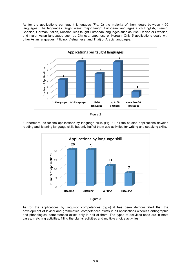As for the applications per taught languages (Fig. 2) the majority of them deals between 4-50 languages. The languages taught were: major taught European languages such English, French, Spanish, German, Italian, Russian, less taught European languages such as Irish, Danish or Swedish, and major Asian languages such as Chinese, Japanese or Korean. Only 5 applications deals with other Asian languages (Filipino, Vietnamese, and Thai) or Arabic languages.





Furthermore, as for the applications by language skills (Fig. 3), all the studied applications develop reading and listening language skills but only half of them use activities for writing and speaking skills.





As for the applications by linguistic competences (fig.4) it has been demonstrated that the development of lexical and grammatical competences exists in all applications whereas orthographic and phonological competences exists only in half of them. The types of activities used are in most cases, matching activities, filling the blanks activities and multiple choice activities.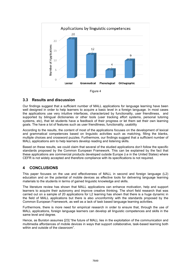

Figure 4

#### **3.3 Results and discussion**

Our findings suggest that a sufficient number of MALL applications for language learning have been well designed in order to help learners to acquire a basic level in a foreign language. In most cases the applications use very intuitive interfaces, characterized by functionality, user friendliness, and supported by bilingual dictionaries or other tools (user tracking effort systems, personal tutoring systems, etc), that let students have a feedback of their progress or let them set their own learning goals. The have a lot of features such as user friendliness, functionality, usability

According to the results, the content of most of the applications focuses on the development of lexical and grammatical competences based on linguistic activities such as matching, filling the blanks, multiple choices and crossword puzzles. Furthermore, our findings suggest that a sufficient number of MALL applications aim to help learners develop reading and listening skills.

Based on these results, we could claim that several of the studied applications don't follow the specific standards proposed by the Common European Framework. This can be explained by the fact that these applications are commercial products developed outside Europe (i.e in the United States) where CEFR is not widely accepted and therefore compliance with its specifications is not required.

#### **4 CONCLUSIONS**

This paper focuses on the use and effectiveness of MALL in second and foreign language (L2) education and on the potential of mobile devices as effective tools for delivering language learning materials to the students in terms of gained linguistic knowledge and skills.

The literature review has shown that MALL applications can enhance motivation, help and support learners to acquire their autonomy and improve creative thinking. The short field research that was carried out on a sample of 20 applications for L2 learning has shown that there is a huge dynamic in the field of MALL applications but there is also unconformity with the standards proposed by the Common European Framework, as well as a lack of task based language learning activities.

Furthermore, there is more need for empirical research in order to ensure that, through the use of MALL applications, foreign language learners can develop all linguistic competences and skills in the same level and degree.

Hence, as Burston assumes [23] "the future of MALL lies in the exploitation of the communication and multimedia affordances of mobile devices in ways that support collaborative, task-based learning both within and outside of the classroom"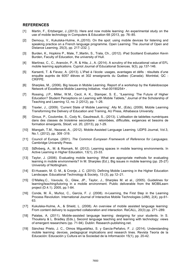#### **REFERENCES**

- [1] Martin, F., Ertzberger, J.,(2013). Here and now mobile learning: An experimental study on the use of mobile technology in Computers & Education 68 (2013, pp. 76–85.
- [2] Demouy, V., Kukulska-Hulme, A., (2010). On the spot: using mobile devices for listening and speaking practice on a French language programme. Open Learning: The Journal of Open and Distance Learning, 25(3), pp. 217–232. ].
- [3] Burden, K., Hopkins P., Male, T.,Martin, S., Trala, Ch., (2012). iPad Scotland Evaluation Kevin Burden, Faculty of Education, the university of Hull.
- [4] Martínez, C., C., Arancón, P., R. & Hita, J., A. (2014). A scrutiny of the educational value of EFL mobile learning applications. Cypriot Journal of Educational Sciences. 9(3), pp.137-146.
- [5] Karsenti, T. & Fievez, A. (2013). L'iPad à l'école: usages, avantages et défis : résultats d'une enquête auprès de 6057 élèves et 302 enseignants du Québec (Canada). Montréal, QC : CRIFPE.
- [6] Sharples, M., (2006). Big Issues in Mobile Learning. Report of a workshop by the Kaleidoscope Network of Excellence Mobile Learning Initiative. <hal-00190254> .
- [7] Rossing, J.P., Miller, W.M., Cecil, A. K., Stamper, S. E., "iLearning: The Future of Higher Education? Student Perceptions on Learning with Mobile Tablets," Journal of the Scholarship of Teaching and Learning 12, no. 2 (2012), pp. 1–26.
- [8] Traxler, J., (2009). 'Current State of Mobile Learning'. Ally M., (Eds), (2009). Mobile Learning Transforming the Delivery of Education and Training, AU Press, Athabasca University.
- [9] Giroux, P., Coulombe, S., Cody N., Gaudreault, S., (2013). L'utilisation de tablettes numériques dans des classes de troisième secondaire : retombées, difficultés, exigences et besoins de formation émergents, Sticef, vol. 20, (2013), pp.1-29.
- [10] Miangah, T.M., Nezarat, A., (2012). Mobile-Assisted Language Learning. IJDPS Journal, Vol.3, No.1, (2012), pp. 309 -319.
- [11] Council of Europe. (2001). *The Common European Framework of Reference for Languages*. Cambridge University Press.
- [12] SØlvberg, A., M. & Rismark, M. (2012). Learning spaces in mobile learning environments. In Active Learning in Higher Education, 13(1), 23-33.
- [13] Taylor, J. (2006). Evaluating mobile learning: What are appropriate methods for evaluating learning in mobile environments? In M. Sharples (Ed.), Big issues in mobile learning (pp. 25-27) University of Nottingham.
- [14] El-Hussein, M. O. M., & Cronje, J. C. (2010). Defining Mobile Learning in the Higher Education Landscape. Educational Technology & Society, 13 (3), pp.12–21.
- [15] O'Malley,C., Vavoula, G., Glew, JP., Taylor, J., Sharples M. et al., (2005). Guidelines for learning/teaching/tutoring in a mobile environment. Public deliverable from the MOBILearn project (D.4.1). 2005, pp.1-84.
- [16] Conde, M. Á., Muñoz, C., García, F. J. (2008). m-Learning, the First Step in the Learning Process Revolution. International Journal of Interactive Mobile Technologies (iJIM), 2(4), pp.61- 63.
- [17] Kukulska-Hulme, A., & Shield, L. (2008). An overview of mobile assisted language learning: From content delivery to supported collaboration and interaction. ReCALL, 20(3) pp. 271–289.
- [18] Palalas, A. (2011). Mobile-assisted language learning: designing for your students. In S. Thouësny & L. Bradley (Eds.), Second language teaching and learning with technology: views of emergent researchers (pp. 71-94). Dublin: Research-publishing.net.
- [19] Sánchez Prieto, J. C., Olmos Migueláñez, S. y García-Peñalvo, F. J. (2014). Understanding mobile learning: devices, pedagogical implications and research lines. Revista Teoría de la Educación: Educación y Cultura en la Sociedad de la Información 15(1), pp. 20-42.